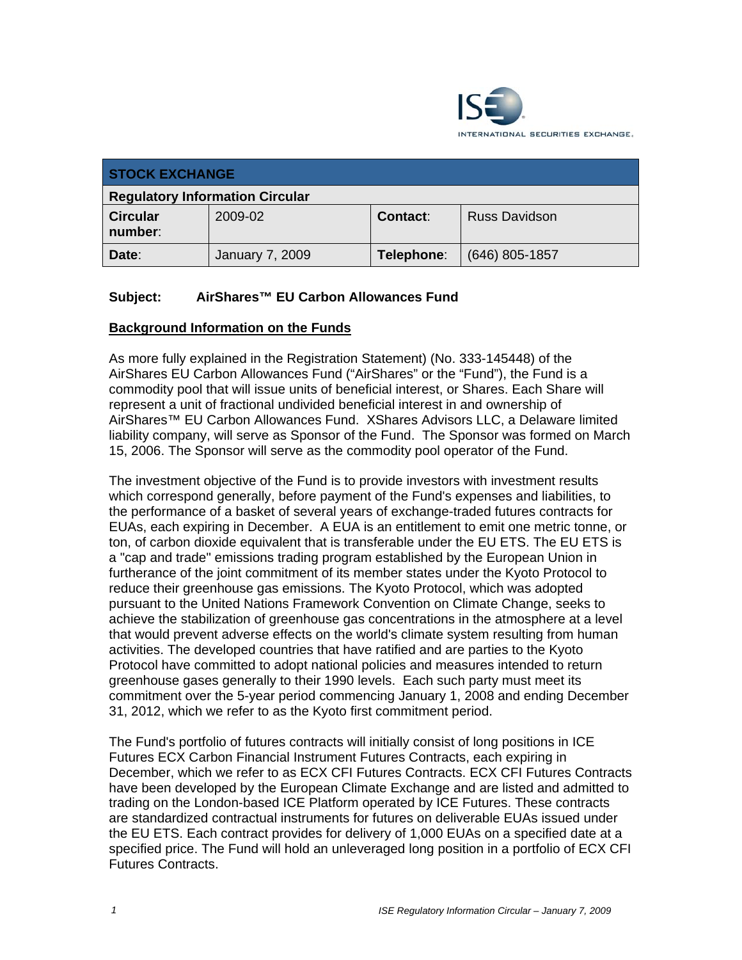

| <b>STOCK EXCHANGE</b>                  |                        |            |                      |
|----------------------------------------|------------------------|------------|----------------------|
| <b>Regulatory Information Circular</b> |                        |            |                      |
| <b>Circular</b><br>number:             | 2009-02                | Contact:   | <b>Russ Davidson</b> |
| Date:                                  | <b>January 7, 2009</b> | Telephone: | $(646)$ 805-1857     |

# **Subject: AirShares™ EU Carbon Allowances Fund**

#### **Background Information on the Funds**

As more fully explained in the Registration Statement) (No. 333-145448) of the AirShares EU Carbon Allowances Fund ("AirShares" or the "Fund"), the Fund is a commodity pool that will issue units of beneficial interest, or Shares. Each Share will represent a unit of fractional undivided beneficial interest in and ownership of AirShares™ EU Carbon Allowances Fund. XShares Advisors LLC, a Delaware limited liability company, will serve as Sponsor of the Fund. The Sponsor was formed on March 15, 2006. The Sponsor will serve as the commodity pool operator of the Fund.

The investment objective of the Fund is to provide investors with investment results which correspond generally, before payment of the Fund's expenses and liabilities, to the performance of a basket of several years of exchange-traded futures contracts for EUAs, each expiring in December. A EUA is an entitlement to emit one metric tonne, or ton, of carbon dioxide equivalent that is transferable under the EU ETS. The EU ETS is a "cap and trade" emissions trading program established by the European Union in furtherance of the joint commitment of its member states under the Kyoto Protocol to reduce their greenhouse gas emissions. The Kyoto Protocol, which was adopted pursuant to the United Nations Framework Convention on Climate Change, seeks to achieve the stabilization of greenhouse gas concentrations in the atmosphere at a level that would prevent adverse effects on the world's climate system resulting from human activities. The developed countries that have ratified and are parties to the Kyoto Protocol have committed to adopt national policies and measures intended to return greenhouse gases generally to their 1990 levels. Each such party must meet its commitment over the 5-year period commencing January 1, 2008 and ending December 31, 2012, which we refer to as the Kyoto first commitment period.

The Fund's portfolio of futures contracts will initially consist of long positions in ICE Futures ECX Carbon Financial Instrument Futures Contracts, each expiring in December, which we refer to as ECX CFI Futures Contracts. ECX CFI Futures Contracts have been developed by the European Climate Exchange and are listed and admitted to trading on the London-based ICE Platform operated by ICE Futures. These contracts are standardized contractual instruments for futures on deliverable EUAs issued under the EU ETS. Each contract provides for delivery of 1,000 EUAs on a specified date at a specified price. The Fund will hold an unleveraged long position in a portfolio of ECX CFI Futures Contracts.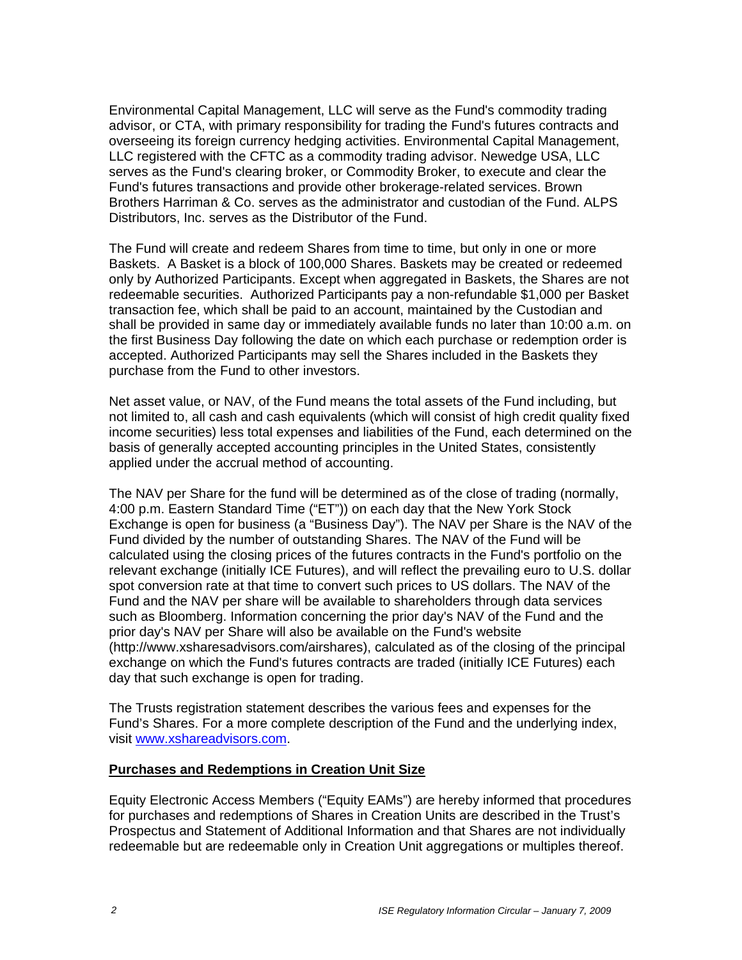Environmental Capital Management, LLC will serve as the Fund's commodity trading advisor, or CTA, with primary responsibility for trading the Fund's futures contracts and overseeing its foreign currency hedging activities. Environmental Capital Management, LLC registered with the CFTC as a commodity trading advisor. Newedge USA, LLC serves as the Fund's clearing broker, or Commodity Broker, to execute and clear the Fund's futures transactions and provide other brokerage-related services. Brown Brothers Harriman & Co. serves as the administrator and custodian of the Fund. ALPS Distributors, Inc. serves as the Distributor of the Fund.

The Fund will create and redeem Shares from time to time, but only in one or more Baskets. A Basket is a block of 100,000 Shares. Baskets may be created or redeemed only by Authorized Participants. Except when aggregated in Baskets, the Shares are not redeemable securities. Authorized Participants pay a non-refundable \$1,000 per Basket transaction fee, which shall be paid to an account, maintained by the Custodian and shall be provided in same day or immediately available funds no later than 10:00 a.m. on the first Business Day following the date on which each purchase or redemption order is accepted. Authorized Participants may sell the Shares included in the Baskets they purchase from the Fund to other investors.

Net asset value, or NAV, of the Fund means the total assets of the Fund including, but not limited to, all cash and cash equivalents (which will consist of high credit quality fixed income securities) less total expenses and liabilities of the Fund, each determined on the basis of generally accepted accounting principles in the United States, consistently applied under the accrual method of accounting.

The NAV per Share for the fund will be determined as of the close of trading (normally, 4:00 p.m. Eastern Standard Time ("ET")) on each day that the New York Stock Exchange is open for business (a "Business Day"). The NAV per Share is the NAV of the Fund divided by the number of outstanding Shares. The NAV of the Fund will be calculated using the closing prices of the futures contracts in the Fund's portfolio on the relevant exchange (initially ICE Futures), and will reflect the prevailing euro to U.S. dollar spot conversion rate at that time to convert such prices to US dollars. The NAV of the Fund and the NAV per share will be available to shareholders through data services such as Bloomberg. Information concerning the prior day's NAV of the Fund and the prior day's NAV per Share will also be available on the Fund's website (http://www.xsharesadvisors.com/airshares), calculated as of the closing of the principal exchange on which the Fund's futures contracts are traded (initially ICE Futures) each day that such exchange is open for trading.

The Trusts registration statement describes the various fees and expenses for the Fund's Shares. For a more complete description of the Fund and the underlying index, visit www.xshareadvisors.com.

#### **Purchases and Redemptions in Creation Unit Size**

Equity Electronic Access Members ("Equity EAMs") are hereby informed that procedures for purchases and redemptions of Shares in Creation Units are described in the Trust's Prospectus and Statement of Additional Information and that Shares are not individually redeemable but are redeemable only in Creation Unit aggregations or multiples thereof.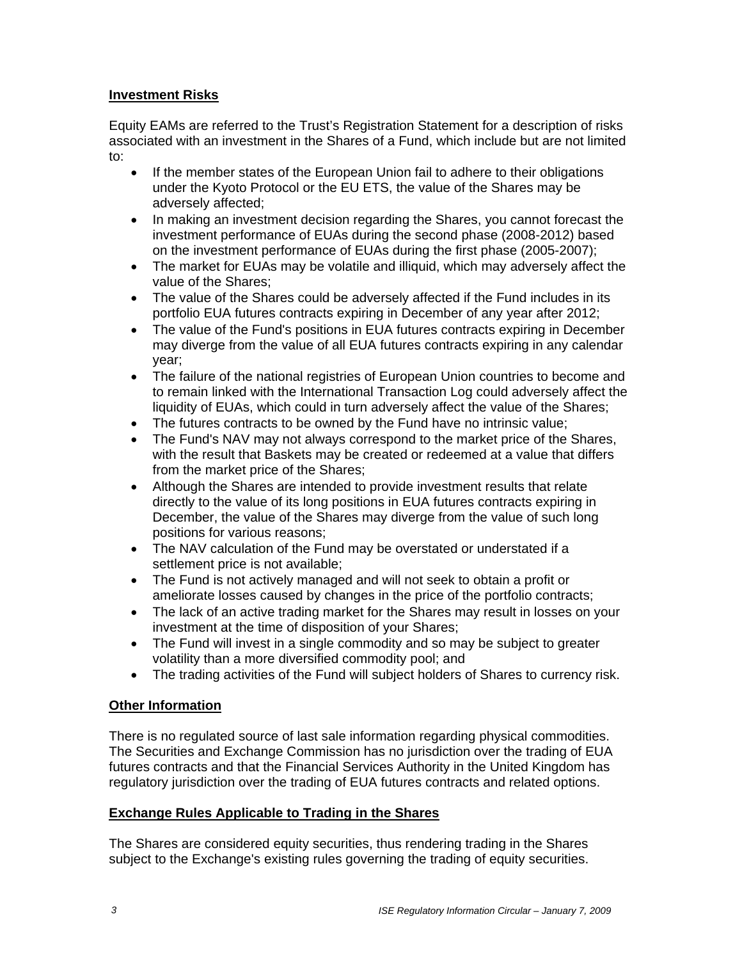# **Investment Risks**

Equity EAMs are referred to the Trust's Registration Statement for a description of risks associated with an investment in the Shares of a Fund, which include but are not limited to:

- If the member states of the European Union fail to adhere to their obligations under the Kyoto Protocol or the EU ETS, the value of the Shares may be adversely affected;
- In making an investment decision regarding the Shares, you cannot forecast the investment performance of EUAs during the second phase (2008-2012) based on the investment performance of EUAs during the first phase (2005-2007);
- The market for EUAs may be volatile and illiquid, which may adversely affect the value of the Shares;
- The value of the Shares could be adversely affected if the Fund includes in its portfolio EUA futures contracts expiring in December of any year after 2012;
- The value of the Fund's positions in EUA futures contracts expiring in December may diverge from the value of all EUA futures contracts expiring in any calendar year;
- The failure of the national registries of European Union countries to become and to remain linked with the International Transaction Log could adversely affect the liquidity of EUAs, which could in turn adversely affect the value of the Shares;
- The futures contracts to be owned by the Fund have no intrinsic value;
- The Fund's NAV may not always correspond to the market price of the Shares, with the result that Baskets may be created or redeemed at a value that differs from the market price of the Shares;
- Although the Shares are intended to provide investment results that relate directly to the value of its long positions in EUA futures contracts expiring in December, the value of the Shares may diverge from the value of such long positions for various reasons;
- The NAV calculation of the Fund may be overstated or understated if a settlement price is not available;
- The Fund is not actively managed and will not seek to obtain a profit or ameliorate losses caused by changes in the price of the portfolio contracts;
- The lack of an active trading market for the Shares may result in losses on your investment at the time of disposition of your Shares;
- The Fund will invest in a single commodity and so may be subject to greater volatility than a more diversified commodity pool; and
- The trading activities of the Fund will subject holders of Shares to currency risk.

# **Other Information**

There is no regulated source of last sale information regarding physical commodities. The Securities and Exchange Commission has no jurisdiction over the trading of EUA futures contracts and that the Financial Services Authority in the United Kingdom has regulatory jurisdiction over the trading of EUA futures contracts and related options.

# **Exchange Rules Applicable to Trading in the Shares**

The Shares are considered equity securities, thus rendering trading in the Shares subject to the Exchange's existing rules governing the trading of equity securities.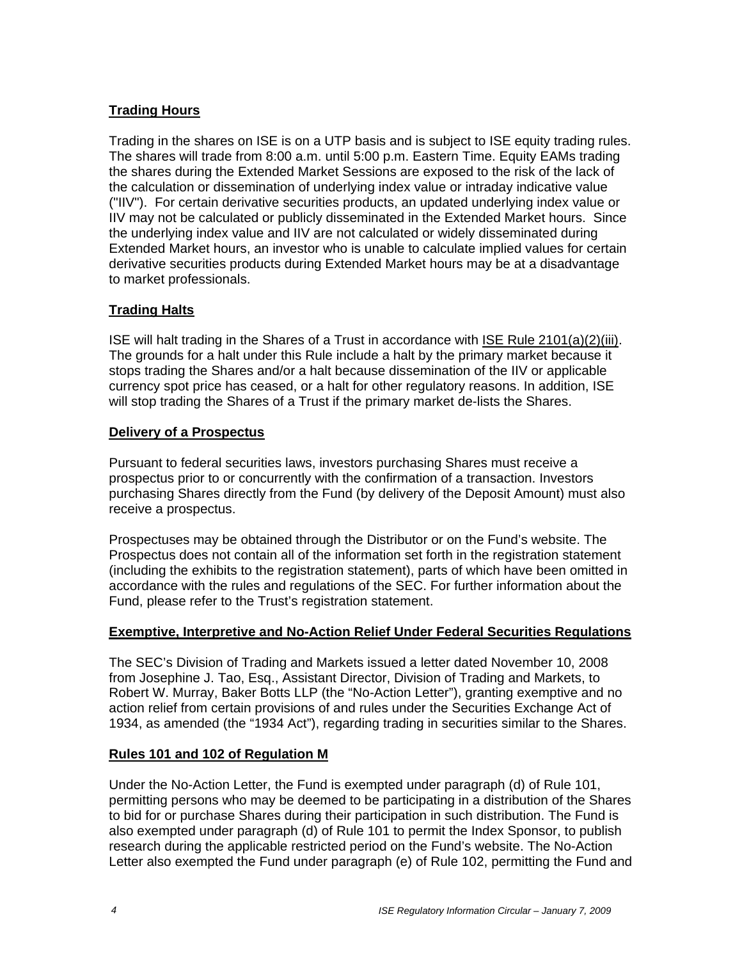# **Trading Hours**

Trading in the shares on ISE is on a UTP basis and is subject to ISE equity trading rules. The shares will trade from 8:00 a.m. until 5:00 p.m. Eastern Time. Equity EAMs trading the shares during the Extended Market Sessions are exposed to the risk of the lack of the calculation or dissemination of underlying index value or intraday indicative value ("IIV"). For certain derivative securities products, an updated underlying index value or IIV may not be calculated or publicly disseminated in the Extended Market hours. Since the underlying index value and IIV are not calculated or widely disseminated during Extended Market hours, an investor who is unable to calculate implied values for certain derivative securities products during Extended Market hours may be at a disadvantage to market professionals.

# **Trading Halts**

ISE will halt trading in the Shares of a Trust in accordance with ISE Rule 2101(a)(2)(iii). The grounds for a halt under this Rule include a halt by the primary market because it stops trading the Shares and/or a halt because dissemination of the IIV or applicable currency spot price has ceased, or a halt for other regulatory reasons. In addition, ISE will stop trading the Shares of a Trust if the primary market de-lists the Shares.

# **Delivery of a Prospectus**

Pursuant to federal securities laws, investors purchasing Shares must receive a prospectus prior to or concurrently with the confirmation of a transaction. Investors purchasing Shares directly from the Fund (by delivery of the Deposit Amount) must also receive a prospectus.

Prospectuses may be obtained through the Distributor or on the Fund's website. The Prospectus does not contain all of the information set forth in the registration statement (including the exhibits to the registration statement), parts of which have been omitted in accordance with the rules and regulations of the SEC. For further information about the Fund, please refer to the Trust's registration statement.

# **Exemptive, Interpretive and No-Action Relief Under Federal Securities Regulations**

The SEC's Division of Trading and Markets issued a letter dated November 10, 2008 from Josephine J. Tao, Esq., Assistant Director, Division of Trading and Markets, to Robert W. Murray, Baker Botts LLP (the "No-Action Letter"), granting exemptive and no action relief from certain provisions of and rules under the Securities Exchange Act of 1934, as amended (the "1934 Act"), regarding trading in securities similar to the Shares.

# **Rules 101 and 102 of Regulation M**

Under the No-Action Letter, the Fund is exempted under paragraph (d) of Rule 101, permitting persons who may be deemed to be participating in a distribution of the Shares to bid for or purchase Shares during their participation in such distribution. The Fund is also exempted under paragraph (d) of Rule 101 to permit the Index Sponsor, to publish research during the applicable restricted period on the Fund's website. The No-Action Letter also exempted the Fund under paragraph (e) of Rule 102, permitting the Fund and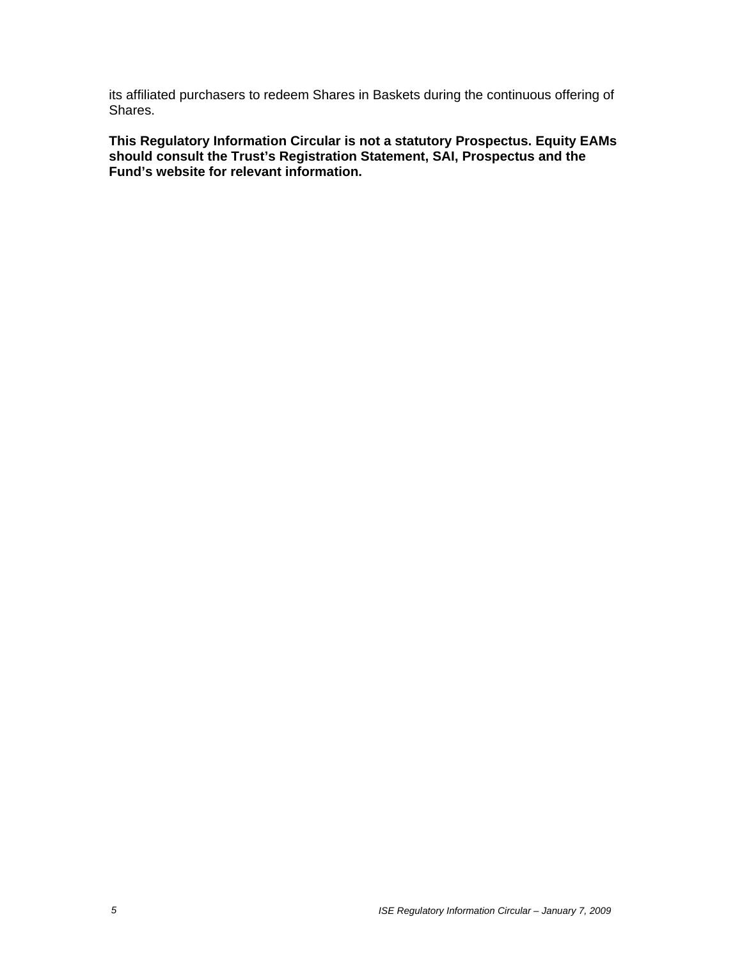its affiliated purchasers to redeem Shares in Baskets during the continuous offering of Shares.

**This Regulatory Information Circular is not a statutory Prospectus. Equity EAMs should consult the Trust's Registration Statement, SAI, Prospectus and the Fund's website for relevant information.**